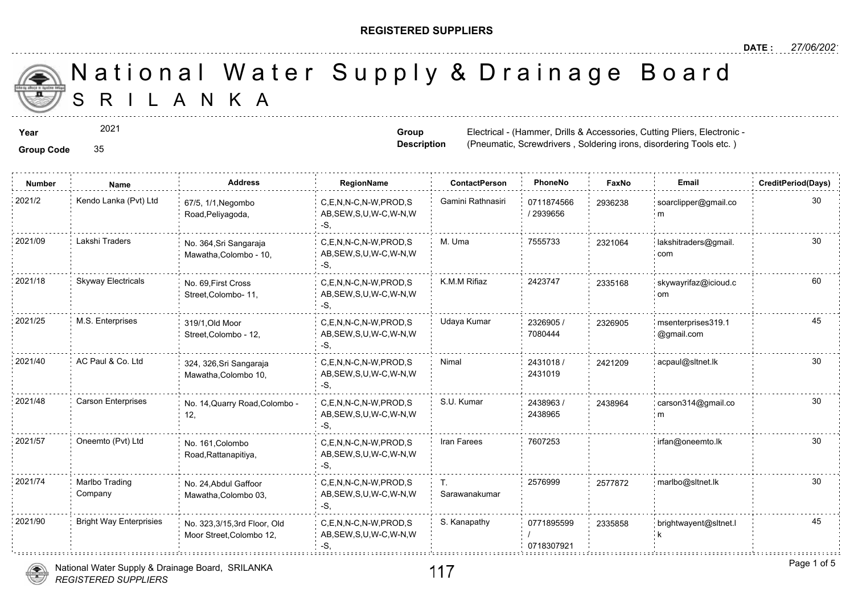### **REGISTERED SUPPLIERS**

**Group Description**

(Pneumatic, Screwdrivers, Soldering i

A N K A National Water Supply & Drainage

**Year** Electrical - (Hammer, Drills & Accessories, Cutting Planck and Cutting Planck Cutting Planck Planck Accessories, Cutting Planck Accessories, Cutting Planck Accessories, Cutting Planck Accessories, Cutting Planck Pla

2021

**Group Code** 35

**Number Name Address RegionName ContactPerson PhoneNo FaxNo Email CreditPeriod(Days)** 0711874566 / 2939656 2021/2 Kendo Lanka (Pvt) Ltd <sub>67/5,</sub> 1/1,Negombo C,E,N,N-C,N-W,PROD,S Gamini Rathnasiri 0711874566 29362; AB,SEW,S,U,W-C,W-N,W -S, 67/5, 1/1,Negombo Road,Peliyagoda, 293623 2021/09 Lakshi Traders No. 364,Sri Sangaraja C,E,N,N-C,N-W,PROD,S M. Uma 7555733 232106 AB,SEW,S,U,W-C,W-N,W -S, No. 364,Sri Sangaraja Mawatha,Colombo - 10, 232106 2021/18 Skyway Electricals No. 69 First Cross C,E,N,N-C,N-W,PROD,S K.M.M Rifiaz 2423747 233516 AB,SEW,S,U,W-C,W-N,W -S, No. 69,First Cross Street,Colombo- 11, 233516 2326905 / 7080444 2021/25 M.S. Enterprises msenterprises and the sentence of the sentence of the sentence of the senterprises of t AB,SEW,S,U,W-C,W-N,W -S, 319/1,Old Moor Street,Colombo - 12, 23269 2431018 / 24212 2431019 C,E,N,N-C,N-W,PROD,S Nimal AB,SEW,S,U,W-C,W-N,W -S, 2021/40 AC Paul & Co. Ltd 324, 326,Sri Sangaraja C,E,N,N-C,N-W,PROD,S Nimal 2431018 / 242120 Mawatha,Colombo 10, 2438963 / 2438965 C,E,N,N-C,N-W,PROD,S S.U. Kumar AB,SEW,S,U,W-C,W-N,W -S, 2021/48 Carson Enterprises No. 14,Quarry Road,Colombo - C,E,N,N-C,N-W,PROD,S S.U. Kumar 2438963 / 243896 12, 243896 C,E,N,N-C,N-W,PROD,S Iran Farees 7607253 30 2021/57 Oneemto (Pvt) Ltd irfan@oneemto.lk AB,SEW,S,U,W-C,W-N,W -S, No. 161,Colombo Road,Rattanapitiya, T. 2576999 257787 Sarawanakumar C,E,N,N-C,N-W,PROD,S 2021/74 2577872 marlbo@sltnet.lk AB,SEW,S,U,W-C,W-N,W  $-S$ No. 24,Abdul Gaffoor Mawatha,Colombo 03, Marlbo Trading Company 0771895599 / 0718307921 C,E,N,N-C,N-W,PROD,S S. Kanapathy AB,SEW,S,U,W-C,W-N,W -S, 2021/90 Bright Way Enterprisies <sub>No.</sub> 323,3/15,3rd Floor, Old C,E,N,N-C,N-W,PROD,S S. Kanapathy 0771895599 233585 Moor Street,Colombo 12, 23358

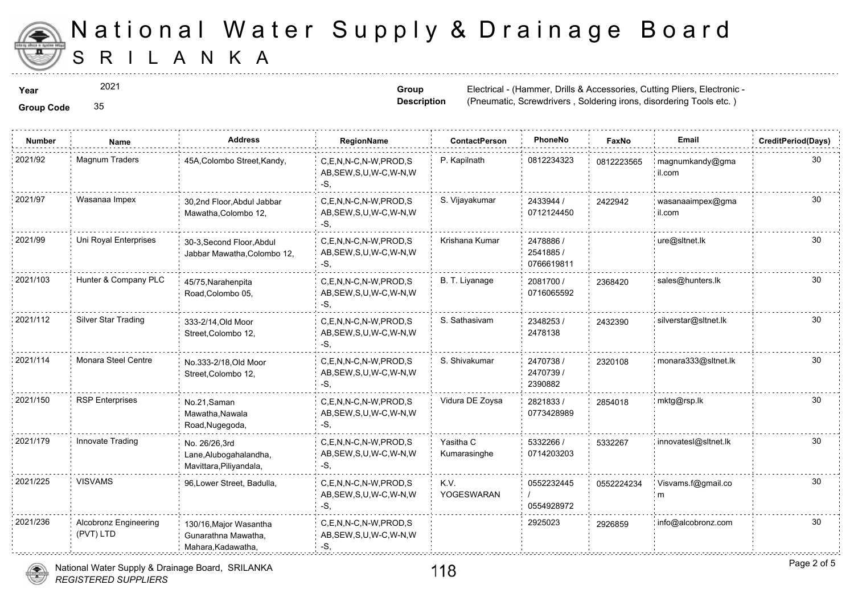

2021

**Group Description**

**Year Electrical - (Hammer, Drills & Accessories, Cutting Planet Accessories, Cutting Planet Accessories, Cutting Pliers, Electrical - (Hammer, Drills & Accessories, 2021** (Pneumatic, Screwdrivers, Soldering i

**Group Code** 35

| <b>Number</b> | Name                                      | Address                                                             | RegionName                                                   | ContactPerson             | PhoneNo                              | Faxl   |
|---------------|-------------------------------------------|---------------------------------------------------------------------|--------------------------------------------------------------|---------------------------|--------------------------------------|--------|
| 2021/92       | Magnum Traders                            | 45A, Colombo Street, Kandy,                                         | C,E,N,N-C,N-W,PROD,S<br>AB, SEW, S, U, W-C, W-N, W<br>-S,    | P. Kapilnath              | 0812234323                           | 081222 |
| 2021/97       | Wasanaa Impex                             | 30,2nd Floor, Abdul Jabbar<br>Mawatha, Colombo 12,                  | C.E.N.N-C.N-W.PROD.S<br>AB, SEW, S, U, W-C, W-N, W<br>-S,    | S. Vijayakumar            | 2433944 /<br>0712124450              | 242294 |
| 2021/99       | Uni Royal Enterprises                     | 30-3, Second Floor, Abdul<br>Jabbar Mawatha, Colombo 12,            | C.E.N.N-C.N-W.PROD.S<br>AB, SEW, S, U, W-C, W-N, W<br>-S,    | Krishana Kumar            | 2478886 /<br>2541885 /<br>0766619811 |        |
| 2021/103      | Hunter & Company PLC                      | 45/75, Narahenpita<br>Road, Colombo 05,                             | C,E,N,N-C,N-W,PROD,S<br>AB, SEW, S, U, W-C, W-N, W<br>-S,    | B. T. Liyanage            | 2081700 /<br>0716065592              | 236842 |
| 2021/112      | Silver Star Trading                       | 333-2/14, Old Moor<br>Street, Colombo 12,                           | C.E.N.N-C.N-W.PROD.S<br>AB, SEW, S, U, W-C, W-N, W<br>-S,    | S. Sathasivam             | 2348253/<br>2478138                  | 243239 |
| 2021/114      | Monara Steel Centre                       | No.333-2/18, Old Moor<br>Street, Colombo 12,                        | C.E.N.N-C.N-W.PROD.S<br>AB, SEW, S, U, W-C, W-N, W<br>-S.    | S. Shivakumar             | 2470738 /<br>2470739 /<br>2390882    | 232010 |
| 2021/150      | <b>RSP</b> Enterprises                    | No.21, Saman<br>Mawatha, Nawala<br>Road, Nugegoda,                  | C,E,N,N-C,N-W,PROD,S<br>AB, SEW, S, U, W-C, W-N, W<br>-S,    | Vidura DE Zoysa           | 2821833/<br>0773428989               | 28540  |
| 2021/179      | Innovate Trading                          | No. 26/26,3rd<br>Lane, Alubogahalandha,<br>Mavittara, Piliyandala,  | C.E.N.N-C.N-W.PROD.S<br>AB, SEW, S, U, W-C, W-N, W<br>-S,    | Yasitha C<br>Kumarasinghe | 5332266 /<br>0714203203              | 533226 |
| 2021/225      | <b>VISVAMS</b>                            | 96, Lower Street, Badulla,                                          | C.E.N.N-C.N-W.PROD.S<br>AB, SEW, S, U, W-C, W-N, W<br>$-S$ . | K.V.<br>YOGESWARAN        | 0552232445<br>0554928972             | 055222 |
| 2021/236      | <b>Alcobronz Engineering</b><br>(PVT) LTD | 130/16, Major Wasantha<br>Gunarathna Mawatha,<br>Mahara, Kadawatha, | C,E,N,N-C,N-W,PROD,S<br>AB, SEW, S, U, W-C, W-N, W<br>-S.    |                           | 2925023                              | 292685 |

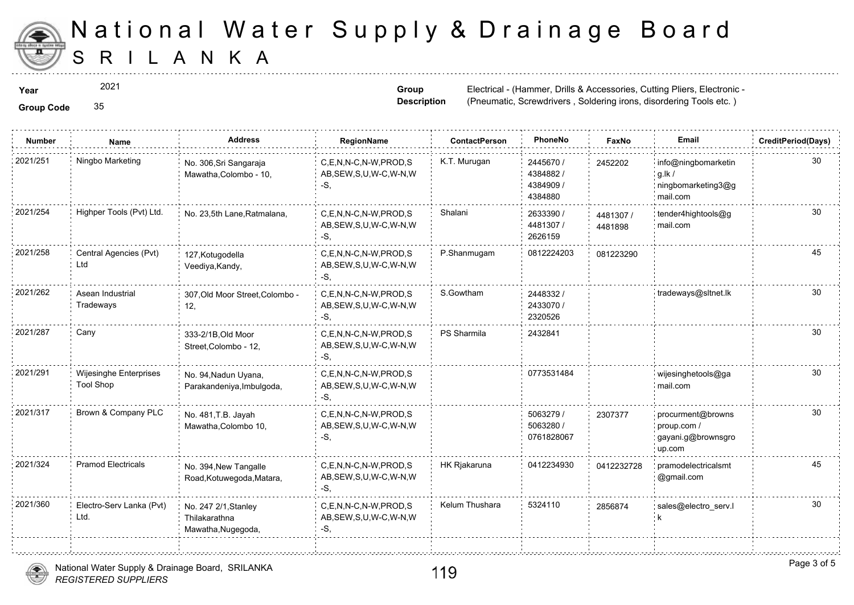

2021

**Group Code** 35

**Group Description**

**Year Electrical - (Hammer, Drills & Accessories, Cutting Planet Accessories, Cutting Planet Accessories, Cutting Pliers, Electrical - (Hammer, Drills & Accessories, 2021** (Pneumatic, Screwdrivers, Soldering i

| <b>Group Code</b> |  |
|-------------------|--|
|                   |  |

| <b>Number</b> | <b>Name</b>                                | <b>Address</b>                                              | RegionName                                                   | <b>ContactPerson</b> | PhoneNo                                       | Faxl             |
|---------------|--------------------------------------------|-------------------------------------------------------------|--------------------------------------------------------------|----------------------|-----------------------------------------------|------------------|
| 2021/251      | Ningbo Marketing                           | No. 306, Sri Sangaraja<br>Mawatha, Colombo - 10,            | C.E.N.N-C.N-W.PROD.S<br>AB, SEW, S, U, W-C, W-N, W<br>$-S,$  | K.T. Murugan         | 2445670 /<br>4384882/<br>4384909 /<br>4384880 | 245220           |
| 2021/254      | Highper Tools (Pvt) Ltd.                   | No. 23,5th Lane, Ratmalana,                                 | C,E,N,N-C,N-W,PROD,S<br>AB, SEW, S, U, W-C, W-N, W<br>-S.    | Shalani              | 2633390 /<br>4481307 /<br>2626159             | 448130<br>448189 |
| 2021/258      | Central Agencies (Pvt)<br>Ltd              | 127, Kotugodella<br>Veediya, Kandy,                         | C,E,N,N-C,N-W,PROD,S<br>AB, SEW, S, U, W-C, W-N, W<br>-S,    | P.Shanmugam          | 0812224203                                    | 081223           |
| 2021/262      | Asean Industrial<br>Tradeways              | 307, Old Moor Street, Colombo -<br>12,                      | C,E,N,N-C,N-W,PROD,S<br>AB, SEW, S, U, W-C, W-N, W<br>-S,    | S.Gowtham            | 2448332/<br>2433070 /<br>2320526              |                  |
| 2021/287      | Cany                                       | 333-2/1B, Old Moor<br>Street, Colombo - 12,                 | C,E,N,N-C,N-W,PROD,S<br>AB, SEW, S, U, W-C, W-N, W<br>-S.    | PS Sharmila          | 2432841                                       |                  |
| 2021/291      | Wijesinghe Enterprises<br><b>Tool Shop</b> | No. 94, Nadun Uyana,<br>Parakandeniya, Imbulgoda,           | C,E,N,N-C,N-W,PROD,S<br>AB, SEW, S, U, W-C, W-N, W<br>-S.    |                      | 0773531484                                    |                  |
| 2021/317      | Brown & Company PLC                        | No. 481, T.B. Jayah<br>Mawatha, Colombo 10,                 | C,E,N,N-C,N-W,PROD,S<br>AB, SEW, S, U, W-C, W-N, W<br>$-S$ . |                      | 5063279 /<br>5063280 /<br>0761828067          | 230737           |
| 2021/324      | <b>Pramod Electricals</b>                  | No. 394, New Tangalle<br>Road, Kotuwegoda, Matara,          | C,E,N,N-C,N-W,PROD,S<br>AB, SEW, S, U, W-C, W-N, W<br>-S.    | HK Rjakaruna         | 0412234930                                    | 041223           |
| 2021/360      | Electro-Serv Lanka (Pvt)<br>Ltd.           | No. 247 2/1, Stanley<br>Thilakarathna<br>Mawatha, Nugegoda, | C.E.N.N-C.N-W.PROD.S<br>AB, SEW, S, U, W-C, W-N, W<br>$-S$ , | Kelum Thushara       | 5324110                                       | 285687           |
|               |                                            |                                                             |                                                              |                      |                                               |                  |

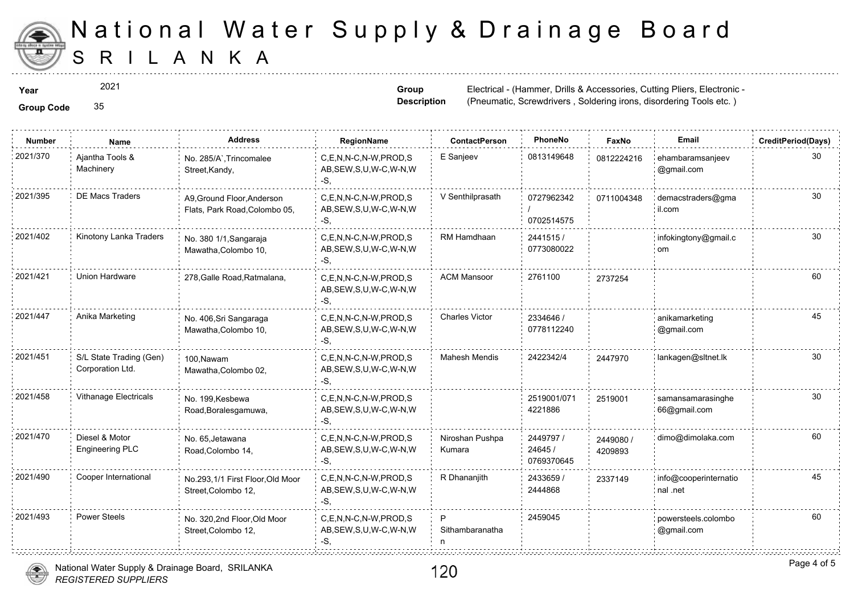

2021

**Group Description**

**Year Electrical - (Hammer, Drills & Accessories, Cutting Planet Accessories, Cutting Planet Accessories, Cutting Pliers, Electrical - (Hammer, Drills & Accessories, 2021** (Pneumatic, Screwdrivers, Soldering i

**Group Code** 35

| <b>Number</b> | Name                                        | <b>Address</b>                                              | RegionName                                                   | <b>ContactPerson</b>      | PhoneNo                            | Faxl             |
|---------------|---------------------------------------------|-------------------------------------------------------------|--------------------------------------------------------------|---------------------------|------------------------------------|------------------|
| 2021/370      | Ajantha Tools &<br>Machinery                | No. 285/A`, Trincomalee<br>Street, Kandy,                   | C,E,N,N-C,N-W,PROD,S<br>AB, SEW, S, U, W-C, W-N, W<br>$-S$ . | E Sanjeev                 | 0813149648                         | 081222           |
| 2021/395      | <b>DE Macs Traders</b>                      | A9, Ground Floor, Anderson<br>Flats, Park Road, Colombo 05, | C.E.N.N-C.N-W.PROD.S<br>AB, SEW, S, U, W-C, W-N, W<br>-S,    | V Senthilprasath          | 0727962342<br>0702514575           | 071100           |
| 2021/402      | Kinotony Lanka Traders                      | No. 380 1/1, Sangaraja<br>Mawatha, Colombo 10,              | C,E,N,N-C,N-W,PROD,S<br>AB, SEW, S, U, W-C, W-N, W<br>-S.    | RM Hamdhaan               | 2441515/<br>0773080022             |                  |
| 2021/421      | Union Hardware                              | 278, Galle Road, Ratmalana,                                 | C.E.N.N-C.N-W.PROD.S<br>AB, SEW, S, U, W-C, W-N, W<br>-S,    | <b>ACM Mansoor</b>        | 2761100                            | 273725           |
| 2021/447      | Anika Marketing                             | No. 406, Sri Sangaraga<br>Mawatha, Colombo 10,              | C,E,N,N-C,N-W,PROD,S<br>AB, SEW, S, U, W-C, W-N, W<br>-S.    | <b>Charles Victor</b>     | 2334646 /<br>0778112240            |                  |
| 2021/451      | S/L State Trading (Gen)<br>Corporation Ltd. | 100, Nawam<br>Mawatha, Colombo 02,                          | C,E,N,N-C,N-W,PROD,S<br>AB, SEW, S, U, W-C, W-N, W<br>-S,    | <b>Mahesh Mendis</b>      | 2422342/4                          | 244797           |
| 2021/458      | Vithanage Electricals                       | No. 199, Kesbewa<br>Road, Boralesgamuwa,                    | C,E,N,N-C,N-W,PROD,S<br>AB, SEW, S, U, W-C, W-N, W<br>-S.    |                           | 2519001/071<br>4221886             | 251900           |
| 2021/470      | Diesel & Motor<br><b>Engineering PLC</b>    | No. 65, Jetawana<br>Road, Colombo 14,                       | C,E,N,N-C,N-W,PROD,S<br>AB, SEW, S, U, W-C, W-N, W<br>-S.    | Niroshan Pushpa<br>Kumara | 2449797 /<br>24645 /<br>0769370645 | 244908<br>420989 |
| 2021/490      | Cooper International                        | No.293,1/1 First Floor, Old Moor<br>Street, Colombo 12,     | C.E.N.N-C.N-W.PROD.S<br>AB, SEW, S, U, W-C, W-N, W<br>$-S$ . | R Dhananjith              | 2433659 /<br>2444868               | 233714           |
| 2021/493      | <b>Power Steels</b>                         | No. 320,2nd Floor,Old Moor<br>Street, Colombo 12,           | C.E.N.N-C.N-W.PROD.S<br>AB, SEW, S, U, W-C, W-N, W<br>-S.    | P<br>Sithambaranatha      | 2459045                            |                  |
|               |                                             |                                                             |                                                              |                           |                                    |                  |